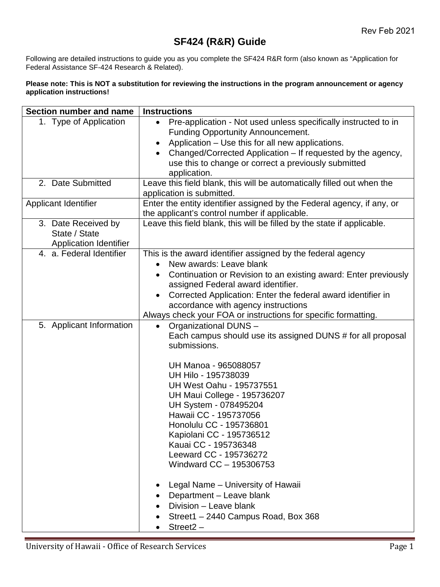## **SF424 (R&R) Guide**

Following are detailed instructions to guide you as you complete the SF424 R&R form (also known as "Application for Federal Assistance SF-424 Research & Related).

## **Please note: This is NOT a substitution for reviewing the instructions in the program announcement or agency application instructions!**

| Section number and name              | <b>Instructions</b>                                                     |
|--------------------------------------|-------------------------------------------------------------------------|
| 1. Type of Application               | Pre-application - Not used unless specifically instructed to in         |
|                                      | <b>Funding Opportunity Announcement.</b>                                |
|                                      | Application - Use this for all new applications.                        |
|                                      | Changed/Corrected Application – If requested by the agency,             |
|                                      | use this to change or correct a previously submitted                    |
|                                      | application.                                                            |
| 2. Date Submitted                    | Leave this field blank, this will be automatically filled out when the  |
|                                      | application is submitted.                                               |
| <b>Applicant Identifier</b>          | Enter the entity identifier assigned by the Federal agency, if any, or  |
|                                      | the applicant's control number if applicable.                           |
| 3. Date Received by<br>State / State | Leave this field blank, this will be filled by the state if applicable. |
| <b>Application Identifier</b>        |                                                                         |
| 4. a. Federal Identifier             | This is the award identifier assigned by the federal agency             |
|                                      | New awards: Leave blank                                                 |
|                                      | Continuation or Revision to an existing award: Enter previously         |
|                                      | assigned Federal award identifier.                                      |
|                                      | Corrected Application: Enter the federal award identifier in            |
|                                      | accordance with agency instructions                                     |
|                                      | Always check your FOA or instructions for specific formatting.          |
| 5. Applicant Information             | Organizational DUNS -<br>$\bullet$                                      |
|                                      | Each campus should use its assigned DUNS # for all proposal             |
|                                      | submissions.                                                            |
|                                      | UH Manoa - 965088057                                                    |
|                                      | UH Hilo - 195738039                                                     |
|                                      | <b>UH West Oahu - 195737551</b>                                         |
|                                      | UH Maui College - 195736207                                             |
|                                      | UH System - 078495204                                                   |
|                                      | Hawaii CC - 195737056                                                   |
|                                      | Honolulu CC - 195736801                                                 |
|                                      | Kapiolani CC - 195736512                                                |
|                                      | Kauai CC - 195736348                                                    |
|                                      | Leeward CC - 195736272                                                  |
|                                      | Windward CC - 195306753                                                 |
|                                      | Legal Name - University of Hawaii                                       |
|                                      | Department - Leave blank                                                |
|                                      | Division - Leave blank                                                  |
|                                      | Street1 - 2440 Campus Road, Box 368                                     |
|                                      | $Street2 -$                                                             |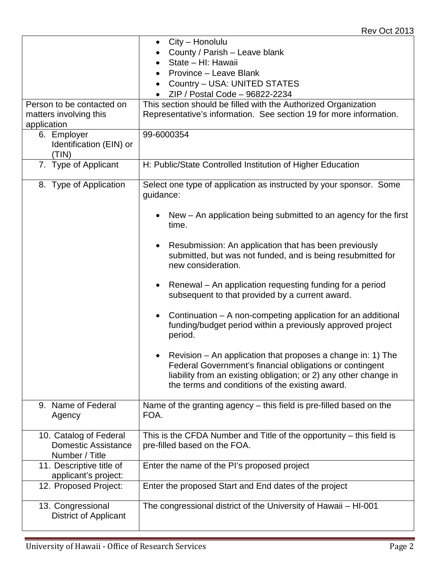|                                                                        | City – Honolulu                                                                                                                                                                                                                                |
|------------------------------------------------------------------------|------------------------------------------------------------------------------------------------------------------------------------------------------------------------------------------------------------------------------------------------|
|                                                                        | County / Parish - Leave blank                                                                                                                                                                                                                  |
|                                                                        | State - HI: Hawaii                                                                                                                                                                                                                             |
|                                                                        | Province - Leave Blank<br>$\bullet$                                                                                                                                                                                                            |
|                                                                        | Country - USA: UNITED STATES<br>$\bullet$                                                                                                                                                                                                      |
|                                                                        | ZIP / Postal Code - 96822-2234                                                                                                                                                                                                                 |
| Person to be contacted on                                              | This section should be filled with the Authorized Organization                                                                                                                                                                                 |
| matters involving this                                                 | Representative's information. See section 19 for more information.                                                                                                                                                                             |
| application                                                            |                                                                                                                                                                                                                                                |
| 6. Employer                                                            | 99-6000354                                                                                                                                                                                                                                     |
| Identification (EIN) or                                                |                                                                                                                                                                                                                                                |
| (TIN)                                                                  |                                                                                                                                                                                                                                                |
| 7. Type of Applicant                                                   | H: Public/State Controlled Institution of Higher Education                                                                                                                                                                                     |
|                                                                        |                                                                                                                                                                                                                                                |
| 8. Type of Application                                                 | Select one type of application as instructed by your sponsor. Some<br>guidance:                                                                                                                                                                |
|                                                                        | New – An application being submitted to an agency for the first<br>time.                                                                                                                                                                       |
|                                                                        | Resubmission: An application that has been previously<br>$\bullet$<br>submitted, but was not funded, and is being resubmitted for<br>new consideration.                                                                                        |
|                                                                        | Renewal - An application requesting funding for a period<br>$\bullet$<br>subsequent to that provided by a current award.                                                                                                                       |
|                                                                        | Continuation – A non-competing application for an additional<br>$\bullet$<br>funding/budget period within a previously approved project<br>period.                                                                                             |
|                                                                        | Revision – An application that proposes a change in: 1) The<br>Federal Government's financial obligations or contingent<br>liability from an existing obligation; or 2) any other change in<br>the terms and conditions of the existing award. |
| 9. Name of Federal<br>Agency                                           | Name of the granting agency – this field is pre-filled based on the<br>FOA.                                                                                                                                                                    |
| 10. Catalog of Federal<br><b>Domestic Assistance</b><br>Number / Title | This is the CFDA Number and Title of the opportunity $-$ this field is<br>pre-filled based on the FOA.                                                                                                                                         |
| 11. Descriptive title of<br>applicant's project:                       | Enter the name of the PI's proposed project                                                                                                                                                                                                    |
| 12. Proposed Project:                                                  | Enter the proposed Start and End dates of the project                                                                                                                                                                                          |
| 13. Congressional<br><b>District of Applicant</b>                      | The congressional district of the University of Hawaii - HI-001                                                                                                                                                                                |